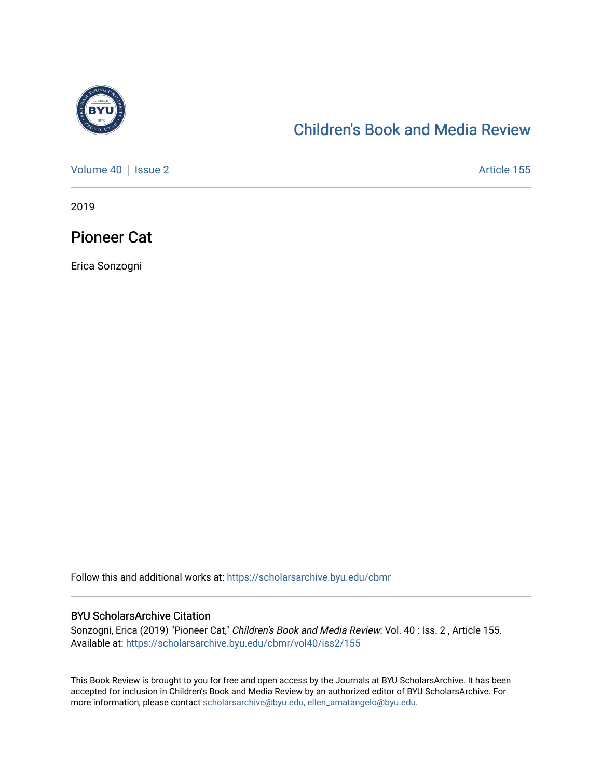

## [Children's Book and Media Review](https://scholarsarchive.byu.edu/cbmr)

[Volume 40](https://scholarsarchive.byu.edu/cbmr/vol40) | [Issue 2](https://scholarsarchive.byu.edu/cbmr/vol40/iss2) Article 155

2019

Pioneer Cat

Erica Sonzogni

Follow this and additional works at: [https://scholarsarchive.byu.edu/cbmr](https://scholarsarchive.byu.edu/cbmr?utm_source=scholarsarchive.byu.edu%2Fcbmr%2Fvol40%2Fiss2%2F155&utm_medium=PDF&utm_campaign=PDFCoverPages) 

#### BYU ScholarsArchive Citation

Sonzogni, Erica (2019) "Pioneer Cat," Children's Book and Media Review: Vol. 40: Iss. 2, Article 155. Available at: [https://scholarsarchive.byu.edu/cbmr/vol40/iss2/155](https://scholarsarchive.byu.edu/cbmr/vol40/iss2/155?utm_source=scholarsarchive.byu.edu%2Fcbmr%2Fvol40%2Fiss2%2F155&utm_medium=PDF&utm_campaign=PDFCoverPages) 

This Book Review is brought to you for free and open access by the Journals at BYU ScholarsArchive. It has been accepted for inclusion in Children's Book and Media Review by an authorized editor of BYU ScholarsArchive. For more information, please contact [scholarsarchive@byu.edu, ellen\\_amatangelo@byu.edu.](mailto:scholarsarchive@byu.edu,%20ellen_amatangelo@byu.edu)